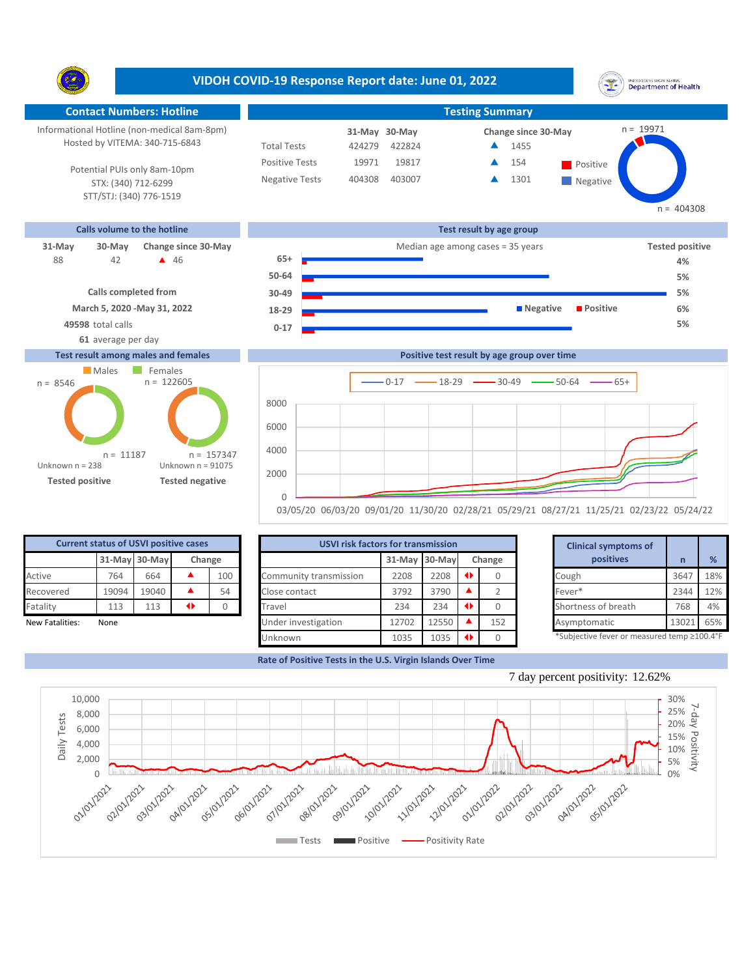|                                                                                                                                                                                                             | VIDOH COVID-19 Response Report date: June 01, 2022                   |                                                                         |                                                                                   | UNITED STATES VIRGIN ISLANDS<br><b>Department of Health</b> |
|-------------------------------------------------------------------------------------------------------------------------------------------------------------------------------------------------------------|----------------------------------------------------------------------|-------------------------------------------------------------------------|-----------------------------------------------------------------------------------|-------------------------------------------------------------|
| <b>Contact Numbers: Hotline</b>                                                                                                                                                                             |                                                                      |                                                                         | <b>Testing Summary</b>                                                            |                                                             |
| Informational Hotline (non-medical 8am-8pm)<br>Hosted by VITEMA: 340-715-6843<br>Potential PUIs only 8am-10pm<br>STX: (340) 712-6299<br>STT/STJ: (340) 776-1519                                             | <b>Total Tests</b><br><b>Positive Tests</b><br><b>Negative Tests</b> | 31-May 30-May<br>422824<br>424279<br>19971<br>19817<br>404308<br>403007 | Change since 30-May<br>1455<br>▲<br>154<br>Positive<br>1301<br>Negative           | $n = 19971$<br>$n = 404308$                                 |
| Calls volume to the hotline                                                                                                                                                                                 |                                                                      |                                                                         | Test result by age group                                                          |                                                             |
| 31-May<br>Change since 30-May<br>30-May<br>88<br>42<br>$\triangle$ 46<br><b>Calls completed from</b><br>March 5, 2020 - May 31, 2022<br>49598 total calls                                                   | $65+$<br>50-64<br>30-49<br>18-29<br>$0 - 17$                         |                                                                         | Median age among cases $=$ 35 years<br><b>Negative</b><br><b>Positive</b>         | <b>Tested positive</b><br>4%<br>5%<br>5%<br>6%<br>5%        |
| 61 average per day                                                                                                                                                                                          |                                                                      |                                                                         |                                                                                   |                                                             |
| <b>Test result among males and females</b><br>Males<br>Females<br>$n = 122605$<br>$n = 8546$<br>$n = 11187$<br>Unknown $n = 238$<br>Unknown $n = 91075$<br><b>Tested positive</b><br><b>Tested negative</b> | 8000<br>6000<br>4000<br>$n = 157347$<br>2000                         | $0 - 17$                                                                | Positive test result by age group over time<br>$-18-29$ -<br>$-30-49$<br>$-50-64$ | $65+$                                                       |
|                                                                                                                                                                                                             | 0                                                                    |                                                                         |                                                                                   |                                                             |

03/05/20 06/03/20 09/01/20 11/30/20 02/28/21 05/29/21 08/27/21 11/25/21 02/23/22 05/24/22

| <b>Current status of USVI positive cases</b> |       |               |  | USVI risk factors for transmission |                        |               |       |                 | <b>Clinical symptoms of</b> |  |                                             |           |               |
|----------------------------------------------|-------|---------------|--|------------------------------------|------------------------|---------------|-------|-----------------|-----------------------------|--|---------------------------------------------|-----------|---------------|
|                                              |       | 31-May 30-May |  | Change                             |                        | 31-May 30-May |       |                 | Change                      |  | positives                                   | n         | $\frac{9}{6}$ |
| Active                                       | 764   | 664           |  | 100                                | Community transmission | 2208          | 2208  | $\blacklozenge$ |                             |  | Cough                                       | 3647      | 18%           |
| Recovered                                    | 19094 | 19040         |  | 54                                 | Close contact          | 3792          | 3790  |                 |                             |  | Fever*                                      | 2344      | 12%           |
| Fatality                                     | 113   | 113           |  |                                    | Travel                 | 234           | 234   | ◆               |                             |  | Shortness of breath                         | 768       | 4%            |
| New Fatalities:                              | None  |               |  |                                    | Under investigation    | 12702         | 12550 |                 | 152                         |  | Asymptomatic                                | 13021 65% |               |
|                                              |       |               |  |                                    | Unknown                | 1035          | 1035  | $\blacklozenge$ |                             |  | *Subjective fever or measured temp ≥100.4°F |           |               |